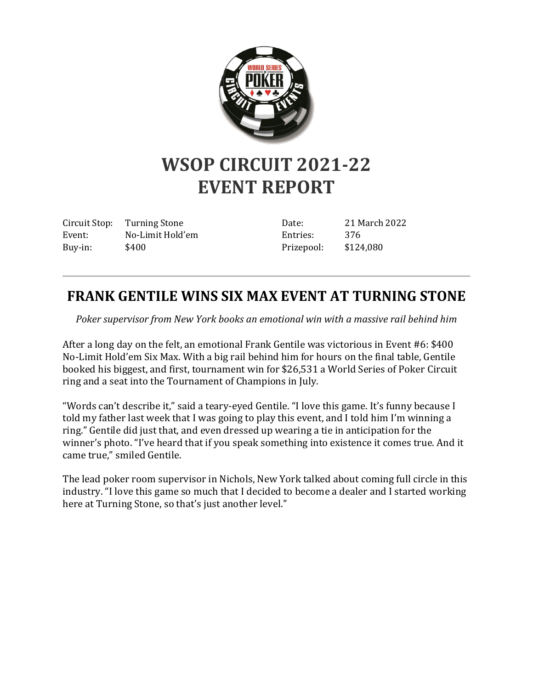

## **WSOP CIRCUIT 2021-22 EVENT REPORT**

Circuit Stop: Turning Stone Event: No-Limit Hold'em Buy-in: \$400

Date: 21 March 2022 Entries: 376 Prizepool: \$124,080

## **FRANK GENTILE WINS SIX MAX EVENT AT TURNING STONE**

*Poker supervisor from New York books an emotional win with a massive rail behind him*

After a long day on the felt, an emotional Frank Gentile was victorious in Event #6: \$400 No-Limit Hold'em Six Max. With a big rail behind him for hours on the final table, Gentile booked his biggest, and first, tournament win for \$26,531 a World Series of Poker Circuit ring and a seat into the Tournament of Champions in July.

"Words can't describe it," said a teary-eyed Gentile. "I love this game. It's funny because I told my father last week that I was going to play this event, and I told him I'm winning a ring." Gentile did just that, and even dressed up wearing a tie in anticipation for the winner's photo. "I've heard that if you speak something into existence it comes true. And it came true," smiled Gentile.

The lead poker room supervisor in Nichols, New York talked about coming full circle in this industry. "I love this game so much that I decided to become a dealer and I started working here at Turning Stone, so that's just another level."